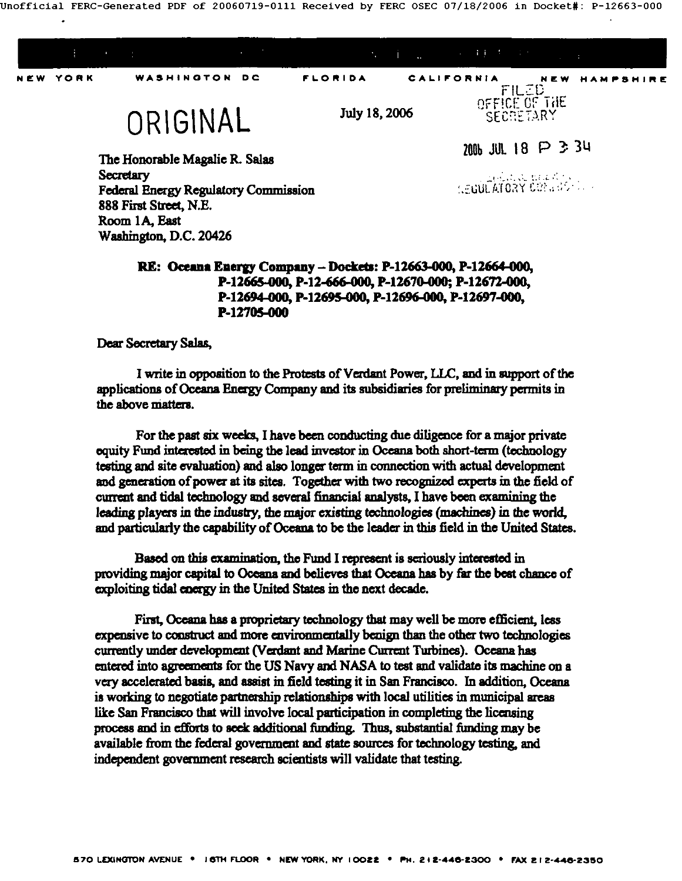Unofficial FERC-Generated PDF of 20060719-0111 Received by FERC OSEC 07/18/2006 in Docket#: P-12663-000



**Secretary Federal Energy Regulatory Commission** 888 First Street, N.E. Room 1A. East Washington, D.C. 20426

a a recento **SEGULATORY CONTROL** 

## RE: Oceana Energy Company - Dockets: P-12663-000, P-12664-000. P-12665-000, P-12-666-000, P-12670-000; P-12672-000, P-12694-000, P-12695-000, P-12696-000, P-12697-000, P-12705-000

Dear Secretary Salas,

I write in opposition to the Protests of Verdant Power, LLC, and in support of the applications of Oceana Energy Company and its subsidiaries for preliminary permits in the above matters.

For the past six weeks, I have been conducting due diligence for a major private equity Fund interested in being the lead investor in Oceana both short-term (technology testing and site evaluation) and also longer term in connection with actual development and generation of power at its sites. Together with two recognized experts in the field of current and tidal technology and several financial analysts. I have been examining the leading players in the industry, the major existing technologies (machines) in the world. and particularly the capability of Oceana to be the leader in this field in the United States.

Based on this examination, the Fund I represent is seriously interested in providing major capital to Oceana and believes that Oceana has by far the best chance of exploiting tidal energy in the United States in the next decade.

First, Oceana has a proprietary technology that may well be more efficient, less expensive to construct and more environmentally benign than the other two technologies currently under development (Verdant and Marine Current Turbines). Oceana has entered into agreements for the US Navy and NASA to test and validate its machine on a very accelerated basis, and assist in field testing it in San Francisco. In addition, Oceana is working to negotiate partnership relationships with local utilities in municipal areas like San Francisco that will involve local participation in completing the licensing process and in efforts to seek additional funding. Thus, substantial funding may be available from the federal government and state sources for technology testing, and independent government research scientists will validate that testing.